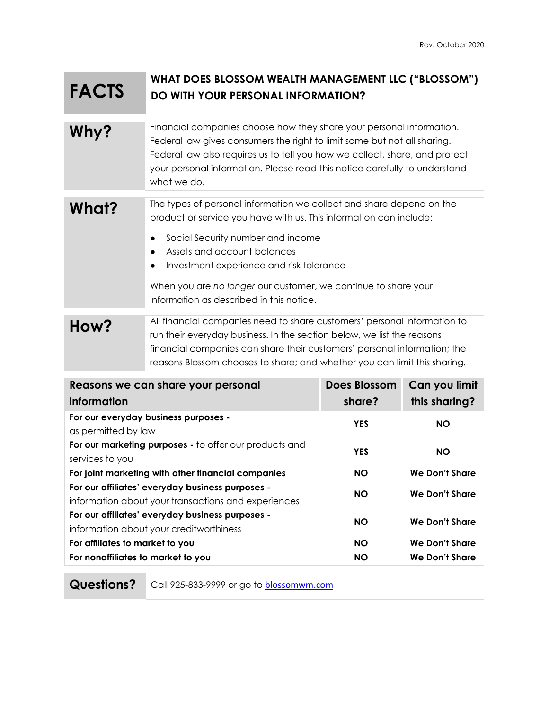## **FACTS WHAT DOES BLOSSOM WEALTH MANAGEMENT LLC ("BLOSSOM") DO WITH YOUR PERSONAL INFORMATION?**

## **Why?** Financial companies choose how they share your personal information. Federal law gives consumers the right to limit some but not all sharing. Federal law also requires us to tell you how we collect, share, and protect your personal information. Please read this notice carefully to understand what we do.

What?<sup>The types of personal information we collect and share depend on the</sup> product or service you have with us. This information can include:

- Social Security number and income
- Assets and account balances
- Investment experience and risk tolerance

When you are *no longer* our customer, we continue to share your information as described in this notice.

## **How?** All financial companies need to share customers' personal information to run their everyday business. In the section below, we list the reasons financial companies can share their customers' personal information; the reasons Blossom chooses to share; and whether you can limit this sharing.

| Reasons we can share your personal<br>information                                                       | <b>Does Blossom</b><br>share? | Can you limit<br>this sharing? |
|---------------------------------------------------------------------------------------------------------|-------------------------------|--------------------------------|
| For our everyday business purposes -<br>as permitted by law                                             | <b>YES</b>                    | <b>NO</b>                      |
| For our marketing purposes - to offer our products and<br>services to you                               | <b>YES</b>                    | <b>NO</b>                      |
| For joint marketing with other financial companies                                                      | <b>NO</b>                     | We Don't Share                 |
| For our affiliates' everyday business purposes -<br>information about your transactions and experiences | <b>NO</b>                     | We Don't Share                 |
| For our affiliates' everyday business purposes -<br>information about your creditworthiness             | <b>NO</b>                     | We Don't Share                 |
| For affiliates to market to you                                                                         | <b>NO</b>                     | We Don't Share                 |
| For nonaffiliates to market to you                                                                      | <b>NO</b>                     | We Don't Share                 |

**Questions?** Call 925-833-9999 or go to blossomwm.com